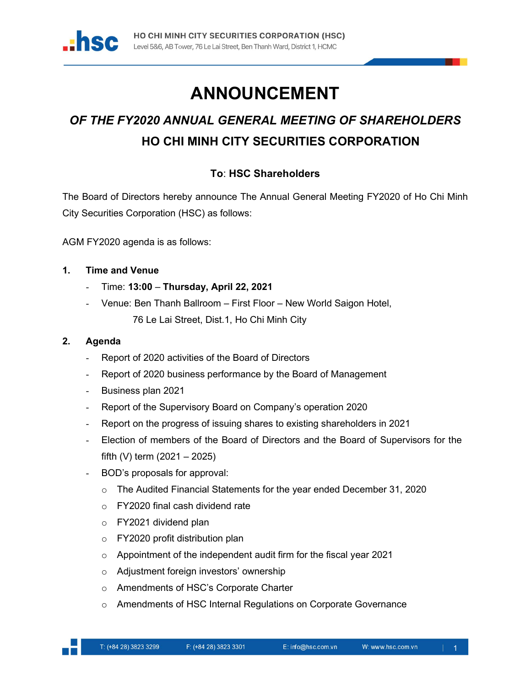

# ANNOUNCEMENT

# OF THE FY2020 ANNUAL GENERAL MEETING OF SHAREHOLDERS HO CHI MINH CITY SECURITIES CORPORATION

### To: HSC Shareholders

The Board of Directors hereby announce The Annual General Meeting FY2020 of Ho Chi Minh City Securities Corporation (HSC) as follows:

AGM FY2020 agenda is as follows:

#### 1. Time and Venue

- Time: 13:00 Thursday, April 22, 2021
- Venue: Ben Thanh Ballroom First Floor New World Saigon Hotel, 76 Le Lai Street, Dist.1, Ho Chi Minh City

#### 2. Agenda

- Report of 2020 activities of the Board of Directors
- Report of 2020 business performance by the Board of Management
- Business plan 2021
- Report of the Supervisory Board on Company's operation 2020
- Report on the progress of issuing shares to existing shareholders in 2021
- Election of members of the Board of Directors and the Board of Supervisors for the fifth (V) term (2021 – 2025)
- BOD's proposals for approval:
	- o The Audited Financial Statements for the year ended December 31, 2020
	- o FY2020 final cash dividend rate
	- o FY2021 dividend plan
	- o FY2020 profit distribution plan
	- $\circ$  Appointment of the independent audit firm for the fiscal year 2021
	- o Adjustment foreign investors' ownership
	- o Amendments of HSC's Corporate Charter
	- o Amendments of HSC Internal Regulations on Corporate Governance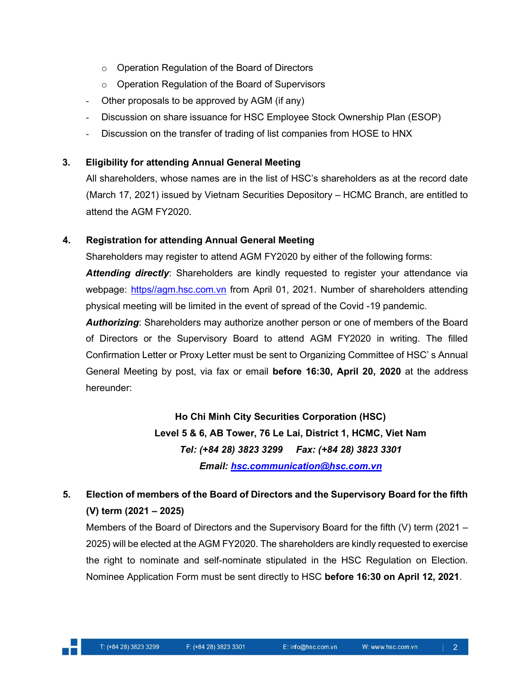- o Operation Regulation of the Board of Directors
- o Operation Regulation of the Board of Supervisors
- Other proposals to be approved by AGM (if any)
- Discussion on share issuance for HSC Employee Stock Ownership Plan (ESOP)
- Discussion on the transfer of trading of list companies from HOSE to HNX

#### 3. Eligibility for attending Annual General Meeting

All shareholders, whose names are in the list of HSC's shareholders as at the record date (March 17, 2021) issued by Vietnam Securities Depository – HCMC Branch, are entitled to attend the AGM FY2020.

#### 4. Registration for attending Annual General Meeting

Shareholders may register to attend AGM FY2020 by either of the following forms:

Attending directly: Shareholders are kindly requested to register your attendance via webpage: https//agm.hsc.com.vn from April 01, 2021. Number of shareholders attending physical meeting will be limited in the event of spread of the Covid -19 pandemic.

Authorizing: Shareholders may authorize another person or one of members of the Board of Directors or the Supervisory Board to attend AGM FY2020 in writing. The filled Confirmation Letter or Proxy Letter must be sent to Organizing Committee of HSC' s Annual General Meeting by post, via fax or email before 16:30, April 20, 2020 at the address hereunder:

> Ho Chi Minh City Securities Corporation (HSC) Level 5 & 6, AB Tower, 76 Le Lai, District 1, HCMC, Viet Nam Tel: (+84 28) 3823 3299 Fax: (+84 28) 3823 3301 Email: hsc.communication@hsc.com.vn

## 5. Election of members of the Board of Directors and the Supervisory Board for the fifth (V) term (2021 – 2025)

Members of the Board of Directors and the Supervisory Board for the fifth (V) term (2021 – 2025) will be elected at the AGM FY2020. The shareholders are kindly requested to exercise the right to nominate and self-nominate stipulated in the HSC Regulation on Election. Nominee Application Form must be sent directly to HSC before 16:30 on April 12, 2021.